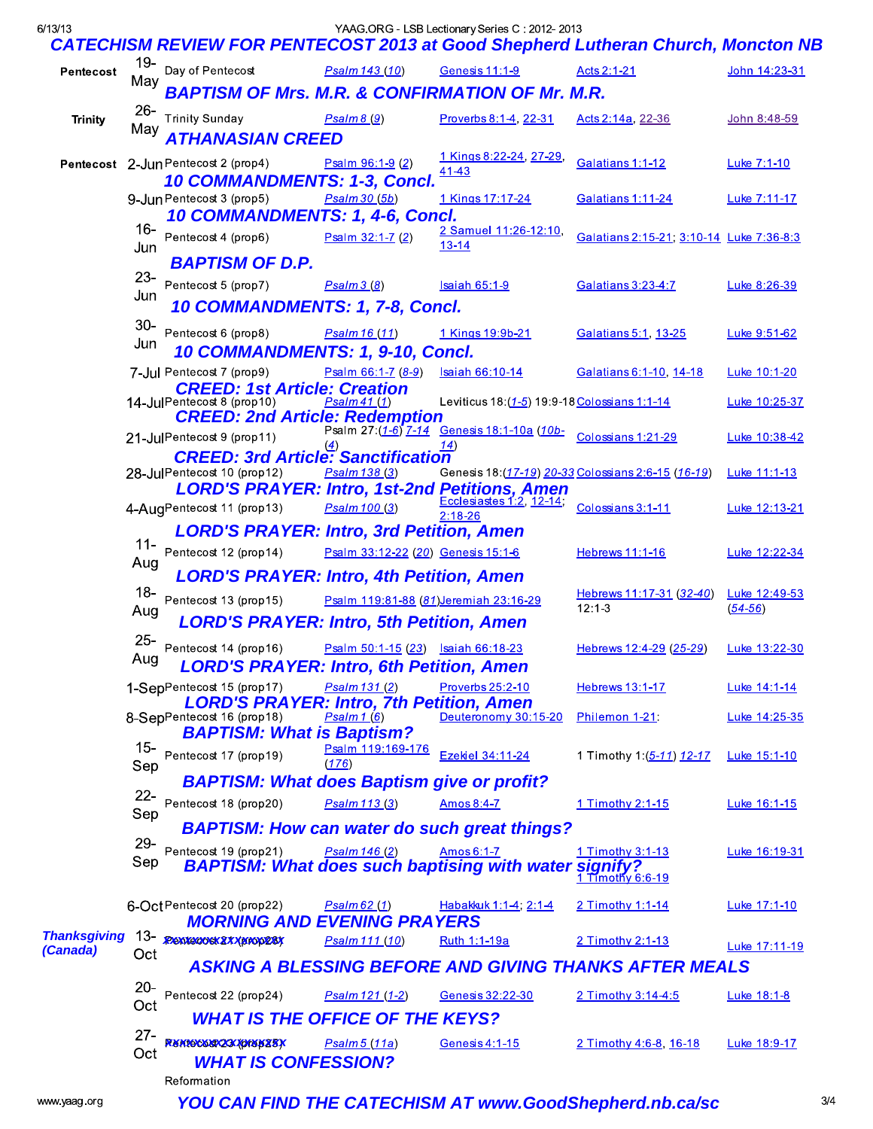| 6/13/13                         |                             | <b>CATECHISM REVIEW FOR PENTECOST 2013 at Good Shepherd Lutheran Church, Moncton NB</b>                                                               |                                       | YAAG ORG - LSB Lectionary Series C: 2012-2013 |                                                               |                              |
|---------------------------------|-----------------------------|-------------------------------------------------------------------------------------------------------------------------------------------------------|---------------------------------------|-----------------------------------------------|---------------------------------------------------------------|------------------------------|
| Pentecost                       | 19-                         | Day of Pentecost                                                                                                                                      | Psalm 143 (10)                        | Genesis 11:1-9                                | Acts 2:1-21                                                   | John 14:23-31                |
|                                 | May                         | <b>BAPTISM OF Mrs. M.R. &amp; CONFIRMATION OF Mr. M.R.</b>                                                                                            |                                       |                                               |                                                               |                              |
| <b>Trinity</b>                  | $26 -$<br>May               | <b>Trinity Sunday</b><br>ATHANASIAN CREED                                                                                                             | P <sub>Salm8</sub> (9)                | Proverbs 8:1-4, 22-31                         | Acts 2:14a, 22-36                                             | John 8:48-59                 |
|                                 |                             | Pentecost 2-Jun Pentecost 2 (prop4)<br>10 COMMANDMENTS: 1-3, Concl.                                                                                   | Psalm 96:1-9 (2)                      | 1 Kings 8:22-24, 27-29<br>41-43               | Galatians 1:1-12                                              | Luke 7:1-10                  |
|                                 |                             | 9-Jun Pentecost 3 (prop5)<br>10 COMMANDMENTS: 1, 4-6, Concl.                                                                                          | $PSalm$ 30 (5b)                       | 1 Kings 17:17-24                              | <u>Galatians 1:11-24</u>                                      | Luke 7:11-17                 |
|                                 | 16-<br>Jun<br>$23 -$<br>Jun | Pentecost 4 (prop6)<br><b>BAPTISM OF D.P.</b>                                                                                                         | Psalm 32:1-7 (2)                      | 2 Samuel 11:26-12:10<br>$13 - 14$             | Galatians 2:15-21, 3:10-14 Luke 7:36-8:3                      |                              |
|                                 |                             | Pentecost 5 (prop7)<br>10 COMMANDMENTS: 1, 7-8, Concl.                                                                                                | P <sub>Salm3</sub> (8)                | <b>Isaiah 65:1-9</b>                          | Galatians 3:23-4:7                                            | Luke 8:26-39                 |
|                                 | $30-$<br>Jun                | Pentecost 6 (prop8)<br>10 COMMANDMENTS: 1, 9-10, Concl.                                                                                               | Psalm 16 (11)                         | 1 Kings 19:9b-21                              | Galatians 5:1, 13-25                                          | Luke 9:51-62                 |
|                                 |                             | 7-Jul Pentecost 7 (prop9)                                                                                                                             | Psalm 66:1-7 (8-9)                    | Isaiah 66:10-14                               | Galatians 6:1-10, 14-18                                       | Luke 10:1-20                 |
|                                 |                             | <b>CREED: 1st Article: Creation</b><br>14-JulPentecost 8 (prop10)<br>CREED: 2nd Article: Redemption<br>All Psalm 27:(1-6) 7-14 Genesis 18:1-10a (10b- | P <sub>s</sub> alm41(1)               | Leviticus 18: (1-5) 19:9-18 Colossians 1:1-14 |                                                               | Luke 10:25-37                |
|                                 |                             | 21-JulPentecost 9 (prop11)                                                                                                                            | $\left( \underline{4} \right)$        | <u>14)</u>                                    | Colossians 1:21-29                                            | Luke 10:38-42                |
|                                 |                             | <b>CREED: 3rd Article: Sanctification</b><br>28-JulPentecost 10 (prop12)                                                                              | Psalm 138 (3)                         |                                               | Genesis 18: (17-19) 20-33 Colossians 2:6-15 (16-19)           | Luke 11:1-13                 |
|                                 |                             | LORD'S PRAYER: Intro, 1st-2nd Petitions, Amen<br>4-AugPentecost 11 (prop13)                                                                           | Psalm 100 (3)                         | $2:18 - 26$                                   | Colossians 3:1-11                                             | Luke 12:13-21                |
|                                 | 11-<br>Aug                  | <b>LORD'S PRAYER: Intro, 3rd Petition, Amen</b><br>Pentecost 12 (prop14)<br><b>LORD'S PRAYER: Intro, 4th Petition, Amen</b>                           | Psalm 33:12-22 (20) Genesis 15:1-6    |                                               | Hebrews 11:1-16                                               | Luke 12:22-34                |
|                                 | 18-<br>Aug                  | Pentecost 13 (prop15)<br><b>LORD'S PRAYER: Intro, 5th Petition, Amen</b>                                                                              | Psalm 119:81-88 (81)Jeremiah 23:16-29 |                                               | Hebrews 11:17-31 (32-40)<br>$12:1-3$                          | Luke 12:49-53<br>$(54 - 56)$ |
|                                 | $25 -$<br>Aug               | Pentecost 14 (prop16)<br><b>LORD'S PRAYER: Intro, 6th Petition, Amen</b>                                                                              | Psalm 50:1-15 (23) Isaiah 66:18-23    |                                               | Hebrews 12:4-29 (25-29)                                       | Luke 13:22-30                |
|                                 |                             | 1-SepPentecost 15 (prop17)<br><b>LORD'S PRAYER: Intro, 7th Petition, Amen</b>                                                                         | Psalm 131 (2)                         | Proverbs 25:2-10                              | Hebrews 13:1-17                                               | Luke 14:1-14                 |
|                                 |                             | 8-SepPentecost 16 (prop18)<br><b>BAPTISM: What is Baptism?</b>                                                                                        | $P$ salm 1 $(6)$                      | Deuteronomy 30:15-20                          | Philemon 1-21:                                                | Luke 14:25-35                |
|                                 | 15-<br>Sep                  | Pentecost 17 (prop19)                                                                                                                                 | Psalm 119:169-176<br>(176)            | Ezekiel 34:11-24                              | 1 Timothy 1:(5-11) 12-17                                      | Luke 15:1-10                 |
|                                 | $22 -$                      | <b>BAPTISM: What does Baptism give or profit?</b>                                                                                                     |                                       |                                               |                                                               |                              |
|                                 | Sep                         | Pentecost 18 (prop20)<br><b>BAPTISM: How can water do such great things?</b>                                                                          | Psalm 113 (3)                         | Amos 8:4-7                                    | 1 Timothy 2:1-15                                              | Luke 16:1-15                 |
|                                 | $29 -$                      | Pentecost 19 (prop21)                                                                                                                                 |                                       |                                               |                                                               |                              |
|                                 | Sep                         | <b>BAPTISM: What does such baptising with water signify?</b><br><b>BAPTISM: What does such baptising with water signify?</b>                          | Psalm 146 (2)                         | Amos 6:1-7                                    | 1 Timothy 3:1-13                                              | Luke 16:19-31                |
| <b>Thanksgiving</b><br>(Canada) |                             | 6-Oct Pentecost 20 (prop22)<br><b>MORNING AND EVENING PRAYERS</b>                                                                                     | P <sub>Salm</sub> 62(1)               | Habakkuk 1:1-4; 2:1-4                         | 2 Timothy 1:1-14                                              | Luke 17:1-10                 |
|                                 |                             | 13- REMISCOSKZXXXXXXXXXXX                                                                                                                             | Psalm 111 (10)                        | Ruth 1:1-19a                                  | 2 Timothy 2:1-13                                              | Luke 17:11-19                |
|                                 | Oct                         |                                                                                                                                                       |                                       |                                               | <b>ASKING A BLESSING BEFORE AND GIVING THANKS AFTER MEALS</b> |                              |
|                                 | $20 -$<br>Oct               | Pentecost 22 (prop24)                                                                                                                                 | Psalm 121 (1-2)                       | Genesis 32:22-30                              | 2 Timothy 3:14-4:5                                            | Luke 18:1-8                  |
|                                 |                             | <b>WHAT IS THE OFFICE OF THE KEYS?</b>                                                                                                                |                                       |                                               |                                                               |                              |
|                                 | $27 -$<br>Oct               | Rentecest/23/jorep25x<br><b>WHAT IS CONFESSION?</b><br>Reformation                                                                                    | Psalm 5 (11a)                         | Genesis 4:1-15                                | 2 Timothy 4:6-8, 16-18                                        | Luke 18:9-17                 |

YOU CAN FIND THE CATECHISM AT www.GoodShepherd.nb.ca/sc